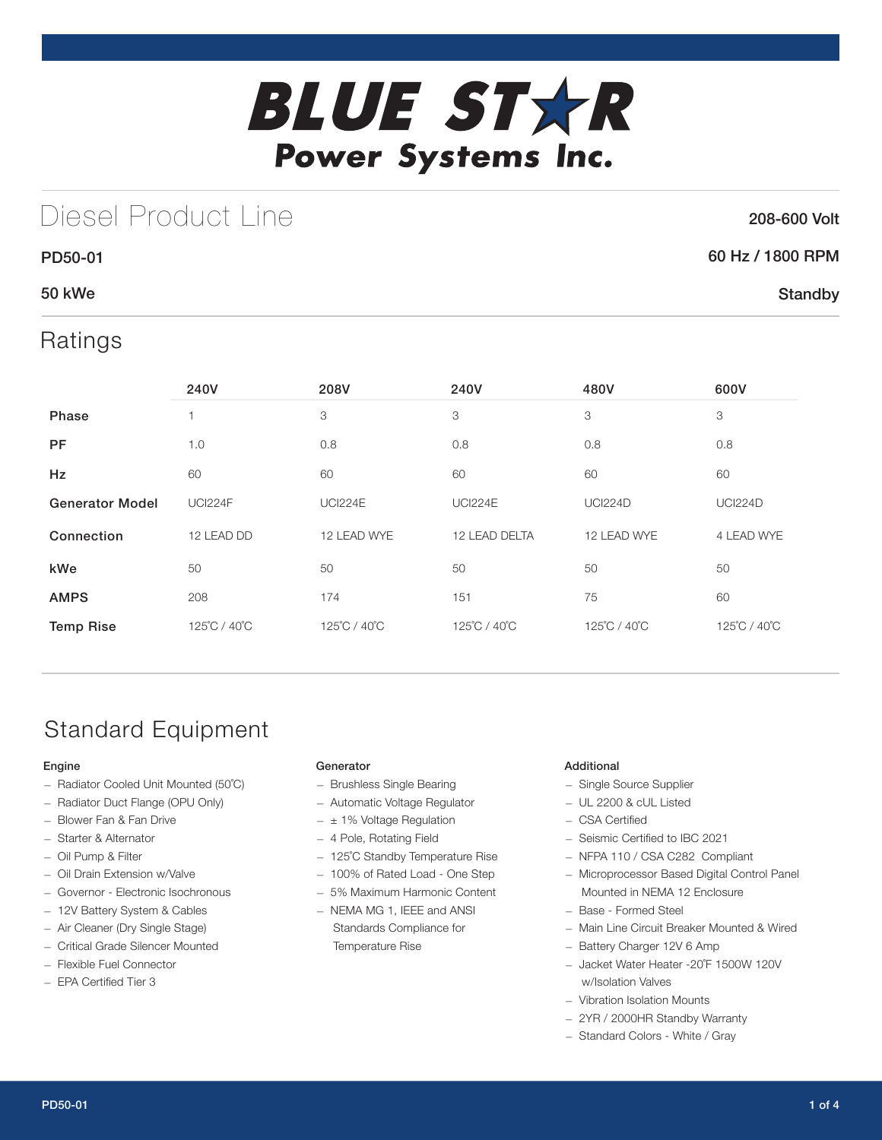

# Diesel Product Line

### 208-600 Volt

**Standby** 

## 60 Hz / 1800 RPM

## 50 kWe

PD50-01

## Ratings

|                        | 240V           | 208V           | 240V                         | 480V           | 600V           |
|------------------------|----------------|----------------|------------------------------|----------------|----------------|
| <b>Phase</b>           |                | 3              | 3<br>3                       |                | 3              |
| <b>PF</b>              | 1.0            | 0.8            | 0.8<br>0.8                   |                | 0.8            |
| Hz                     | 60             | 60             | 60<br>60                     |                | 60             |
| <b>Generator Model</b> | <b>UCI224F</b> | <b>UCI224E</b> | <b>UCI224E</b>               | <b>UCI224D</b> | <b>UCI224D</b> |
| Connection             | 12 LEAD DD     | 12 LEAD WYE    | 12 LEAD DELTA<br>12 LEAD WYE |                | 4 LEAD WYE     |
| kWe                    | 50             | 50             | 50                           | 50             | 50             |
| <b>AMPS</b>            | 208            | 174            | 151                          | 75             | 60             |
| <b>Temp Rise</b>       | 125°C / 40°C   | 125°C / 40°C   | 125°C / 40°C                 | 125°C / 40°C   | 125°C / 40°C   |

# Standard Equipment

### Engine

- Radiator Cooled Unit Mounted (50˚C)
- Radiator Duct Flange (OPU Only)
- Blower Fan & Fan Drive
- Starter & Alternator
- Oil Pump & Filter
- Oil Drain Extension w/Valve
- Governor Electronic Isochronous
- 12V Battery System & Cables
- Air Cleaner (Dry Single Stage)
- Critical Grade Silencer Mounted
- Flexible Fuel Connector
- EPA Certified Tier 3

### Generator

- Brushless Single Bearing
- Automatic Voltage Regulator
- $\pm$  1% Voltage Regulation
- 4 Pole, Rotating Field
- 125˚C Standby Temperature Rise
- 100% of Rated Load One Step
- 5% Maximum Harmonic Content
- NEMA MG 1, IEEE and ANSI Standards Compliance for Temperature Rise

### Additional

- Single Source Supplier
- UL 2200 & cUL Listed
- CSA Certified
- Seismic Certified to IBC 2021
- NFPA 110 / CSA C282 Compliant
- Microprocessor Based Digital Control Panel Mounted in NEMA 12 Enclosure
- Base Formed Steel
- Main Line Circuit Breaker Mounted & Wired
- Battery Charger 12V 6 Amp
- Jacket Water Heater -20˚F 1500W 120V w/Isolation Valves
- Vibration Isolation Mounts
- 2YR / 2000HR Standby Warranty
- Standard Colors White / Gray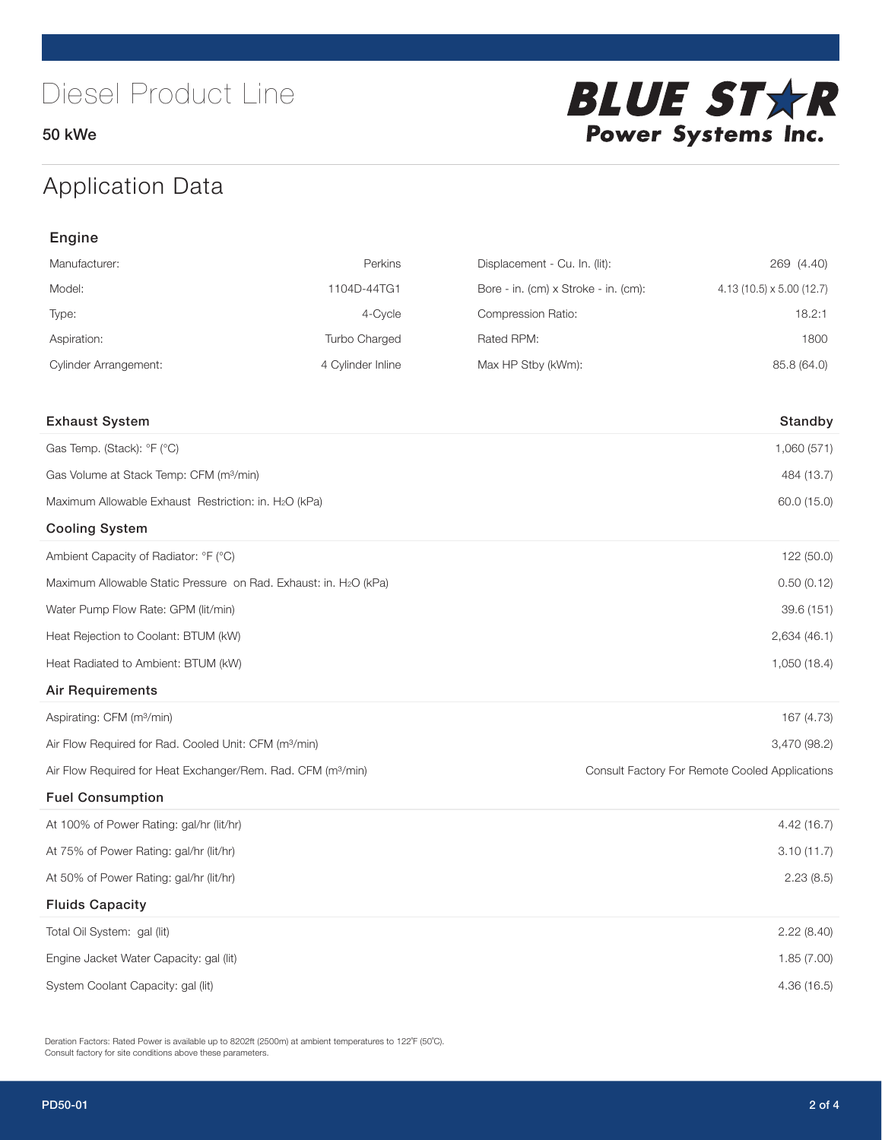50 kWe



# Application Data

| Engine                                                                   |                   |                                      |                                                |
|--------------------------------------------------------------------------|-------------------|--------------------------------------|------------------------------------------------|
| Manufacturer:                                                            | Perkins           | Displacement - Cu. In. (lit):        | 269 (4.40)                                     |
| Model:                                                                   | 1104D-44TG1       | Bore - in. (cm) x Stroke - in. (cm): | $4.13(10.5) \times 5.00(12.7)$                 |
| Type:                                                                    | 4-Cycle           | Compression Ratio:                   | 18.2:1                                         |
| Aspiration:                                                              | Turbo Charged     | Rated RPM:                           | 1800                                           |
| <b>Cylinder Arrangement:</b>                                             | 4 Cylinder Inline | Max HP Stby (kWm):                   | 85.8 (64.0)                                    |
|                                                                          |                   |                                      |                                                |
| <b>Exhaust System</b>                                                    |                   |                                      | Standby                                        |
| Gas Temp. (Stack): °F (°C)                                               |                   |                                      | 1,060 (571)                                    |
| Gas Volume at Stack Temp: CFM (m <sup>3</sup> /min)                      |                   |                                      | 484 (13.7)                                     |
| Maximum Allowable Exhaust Restriction: in. H2O (kPa)                     |                   |                                      | 60.0 (15.0)                                    |
| <b>Cooling System</b>                                                    |                   |                                      |                                                |
| Ambient Capacity of Radiator: °F (°C)                                    |                   |                                      | 122 (50.0)                                     |
| Maximum Allowable Static Pressure on Rad. Exhaust: in. H2O (kPa)         |                   |                                      | 0.50(0.12)                                     |
| Water Pump Flow Rate: GPM (lit/min)                                      |                   |                                      | 39.6 (151)                                     |
| Heat Rejection to Coolant: BTUM (kW)                                     |                   |                                      | 2,634(46.1)                                    |
| Heat Radiated to Ambient: BTUM (kW)                                      |                   |                                      | 1,050 (18.4)                                   |
| <b>Air Requirements</b>                                                  |                   |                                      |                                                |
| Aspirating: CFM (m <sup>3</sup> /min)                                    |                   |                                      | 167 (4.73)                                     |
| Air Flow Required for Rad. Cooled Unit: CFM (m <sup>3</sup> /min)        |                   |                                      | 3,470 (98.2)                                   |
| Air Flow Required for Heat Exchanger/Rem. Rad. CFM (m <sup>3</sup> /min) |                   |                                      | Consult Factory For Remote Cooled Applications |
| <b>Fuel Consumption</b>                                                  |                   |                                      |                                                |
| At 100% of Power Rating: gal/hr (lit/hr)                                 |                   |                                      | 4.42(16.7)                                     |
| At 75% of Power Rating: gal/hr (lit/hr)                                  |                   |                                      | 3.10(11.7)                                     |
| At 50% of Power Rating: gal/hr (lit/hr)                                  |                   |                                      | 2.23(8.5)                                      |
| <b>Fluids Capacity</b>                                                   |                   |                                      |                                                |
| Total Oil System: gal (lit)                                              |                   |                                      | 2.22(8.40)                                     |
| Engine Jacket Water Capacity: gal (lit)                                  |                   |                                      | 1.85(7.00)                                     |
| System Coolant Capacity: gal (lit)                                       |                   |                                      | 4.36 (16.5)                                    |

Deration Factors: Rated Power is available up to 8202ft (2500m) at ambient temperatures to 122<sup>°</sup>F (50<sup>°</sup>C). Consult factory for site conditions above these parameters.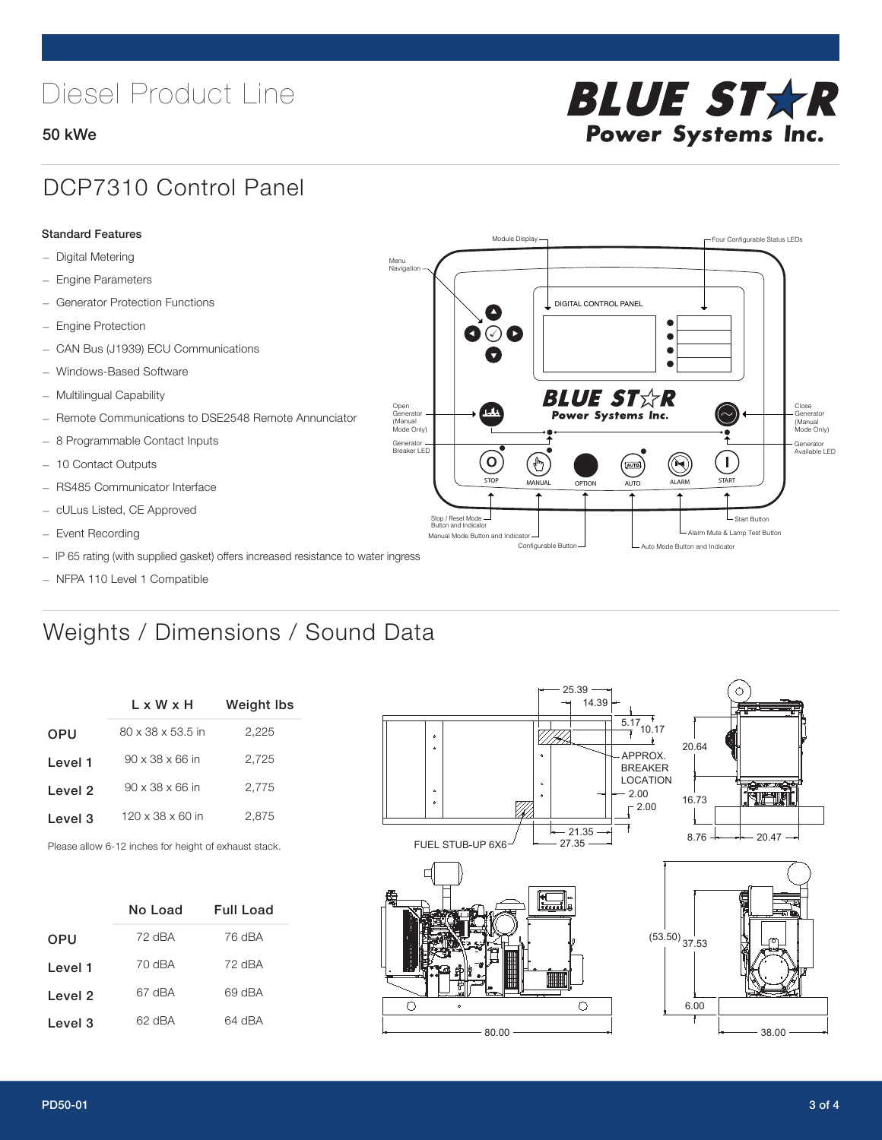# Diesel Product Line

### 50 kWe



## DCP7310 Control Panel

#### Standard Features

- Digital Metering
- Engine Parameters
- Generator Protection Functions
- Engine Protection
- CAN Bus (J1939) ECU Communications
- Windows-Based Software
- Multilingual Capability
- Remote Communications to DSE2548 Remote Annunciator
- 8 Programmable Contact Inputs
- 10 Contact Outputs
- RS485 Communicator Interface
- cULus Listed, CE Approved
- Event Recording
- IP 65 rating (with supplied gasket) offers increased resistance to water ingress
- NFPA 110 Level 1 Compatible

# Weights / Dimensions / Sound Data

|            | L x W x H                    | <b>Weight lbs</b> |  |  |
|------------|------------------------------|-------------------|--|--|
| <b>OPU</b> | 80 x 38 x 53.5 in            | 2,225             |  |  |
| Level 1    | $90 \times 38 \times 66$ in  | 2.725             |  |  |
| Level 2    | $90 \times 38 \times 66$ in  | 2.775             |  |  |
| Level 3    | $120 \times 38 \times 60$ in | 2.875             |  |  |
|            |                              |                   |  |  |

Please allow 6-12 inches for height of exhaust stack.

|            | No Load | Full Load |  |  |
|------------|---------|-----------|--|--|
| <b>OPU</b> | 72 dBA  | 76 dBA    |  |  |
| Level 1    | 70 dBA  | 72 dBA    |  |  |
| Level 2    | 67 dBA  | 69 dBA    |  |  |
| Level 3    | 62 dBA  | 64 dBA    |  |  |



STOP MANUAL OPTION AUTO ALARM START

.<br>[AUTO]

**BLUE STAR** Power Systems Inc.

Manual Mode Button and Indicator Sultane Mute & Lamp Test Button Mute & Lamp Test Button Mute & Lamp Test Button Configurable Button -  $\Box$  Auto Mode Button and Indicator

DIGITAL CONTROL PANEL

Module Display  $\Box$ 

 $\bullet$  $\bullet$  $\bullet$ 

 $\circledcirc$ 

Menu Navigation

Open Generator (Manual Mode Only)

Generator Breaker LED

Stop / Reset Mode Button and Indicator

 $\bullet$  $\overline{\bullet}$ 

 $\sigma$ 

՟Պ

Close Generator (Manual Mode Only)

Generator Available LED

L Start Button

 $\blacksquare$